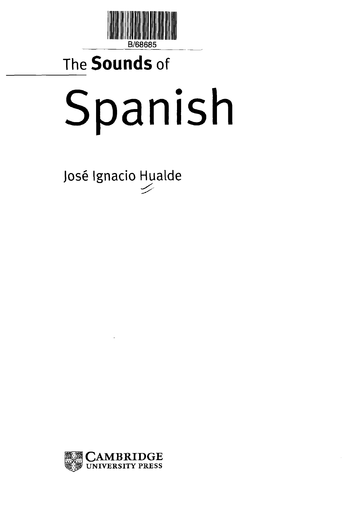

# **The Sounds of** Spanish

José Ignacio Hualde

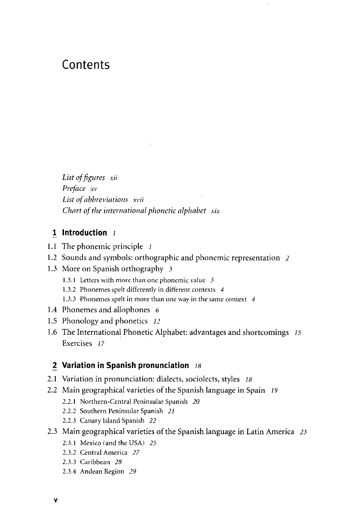# Contents

List of figures xii *Preface xv* List of abbreviations xvii *Chart of the international phonetic alphabet xix*

#### **1 Introduction /**

- 1.1 The phonemic principle *l*
- 1.2 Sounds and symbols: orthographic and phonemic representation *2*
- 1.3 More on Spanish orthography 3
	- 1.3.1 Letters with more than one phonemic value 3
	- 1.3.2 Phonemes spelt differently in different contexts *4*
	- 1.3.3 Phonemes spelt in more than one way in the same context *4*
- 1.4 Phonemes and allophones 6
- 1.5 Phonology and phonetics *12*
- 1.6 The International Phonetic Alphabet: advantages and shortcomings *15* Exercises *17*

#### **2 Variation in Spanish pronunciation is**

- 2.1 Variation in pronunciation: dialects, sociolects, styles *IS*
- 2.2 Main geographical varieties of the Spanish language in Spain *19*
	- 2.2.1 Northern-Central Peninsular Spanish *20*
	- 2.2.2 Southern Peninsular Spanish *21*
	- 2.2.3 Canary Island Spanish *22*
- 2.3 Main geographical varieties of the Spanish language in Latin America *23*
	- 2.3.1 Mexico (and the USA) *25*
	- 2.3.2 Central America *27*
	- 2.3.3 Caribbean *28*
	- 2.3.4 Andean Region *29*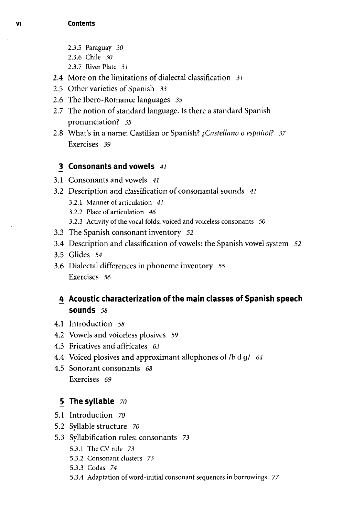- 2.3.5 Paraguay *30*
- 2.3.6 Chile *30*
- 2.3.7 River Plate *31*
- 2.4 More on the limitations of dialectal classification *31*
- 2.5 Other varieties of Spanish *33*
- 2.6 The Ibero-Romance languages *35*
- 2.7 The notion of standard language. Is there a standard Spanish pronunciation? *35*
- 2.8 What's in a name: Castilian or Spanish? *^Castellano o espanol? 37* Exercises *39*

# **3 Consonants and vowels 41**

- 3.1 Consonants and vowels *41*
- 3.2 Description and classification of consonantal sounds *41*
	- 3.2.1 Manner of articulation *41*
	- 3.2.2 Place of articulation *46*
	- 3.2.3 Activity of the vocal folds: voiced and voiceless consonants *50*
- 3.3 The Spanish consonant inventory *52*
- 3.4 Description and classification of vowels: the Spanish vowel system *52*
- 3.5 Glides *54*
- 3.6 Dialectal differences in phoneme inventory *55* Exercises *56*

# **4 Acoustic characterization of the main classes of Spanish speech sounds 58**

- 4.1 Introduction 58
- 4.2 Vowels and voiceless plosives *59*
- 4.3 Fricatives and affricates *63*
- 4.4 Voiced plosives and approximant allophones of /b d g/ 64
- 4.5 Sonorant consonants *68* Exercises *69*

# **5 The syllable 70**

- 5.1 Introduction *70*
- 5.2 Syllable structure *70*
- 5.3 Syllabification rules: consonants *73*
	- 5.3.1 The CV rule *73*
	- 5.3.2 Consonant clusters *73*
	- 5.3.3 Codas *74*
	- 5.3.4 Adaptation of word-initial consonant sequences in borrowings *77*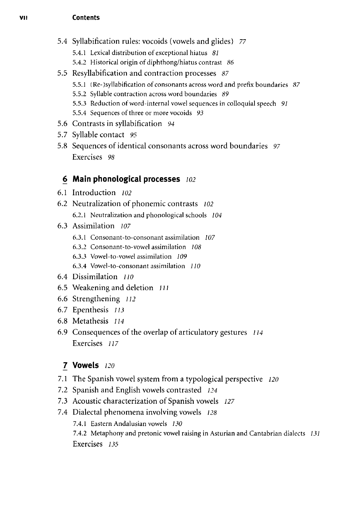#### **VII Contents**

- 5.4 Syllabification rules: vocoids (vowels and glides) *77*
	- 5.4.1 Lexical distribution of exceptional hiatus *81*
	- 5.4.2 Historical origin of diphthong/hiatus contrast 86
- 5.5 Resyllabification and contraction processes *87*
	- 5.5.1 (Re-)syllabification of consonants across word and prefix boundaries *87*
	- 5.5.2 Syllable contraction across word boundaries *89*
	- 5.5.3 Reduction of word-internal vowel sequences in colloquial speech *91*
	- 5.5.4 Sequences of three or more vocoids *93*
- 5.6 Contrasts in syllabification *94*
- 5.7 Syllable contact *95*
- 5.8 Sequences of identical consonants across word boundaries *97* Exercises *98*

# **6 Main phonological processes** *102*

- 6.1 Introduction *102*
- 6.2 Neutralization of phonemic contrasts *102* 6.2.1 Neutralization and phonological schools *104*
- 6.3 Assimilation *107*
	- 6.3.1 Consonant-to-consonant assimilation *107*
	- 6.3.2 Consonant-to-vowel assimilation *108*
	- 6.3.3 Vowel-to-vowel assimilation *109*
	- 6.3.4 Vowel-to-consonant assimilation *110*
- 6.4 Dissimilation *110*
- 6.5 Weakening and deletion *111*
- 6.6 Strengthening *112*
- 6.7 Epenthesis *113*
- 6.8 Metathesis *114*
- 6.9 Consequences of the overlap of articulatory gestures *114* Exercises *117*

# **7 Vowels** *120*

- 7.1 The Spanish vowel system from a typological perspective *120*
- 7.2 Spanish and English vowels contrasted *124*
- 7.3 Acoustic characterization of Spanish vowels *127*
- 7.4 Dialectal phenomena involving vowels *128*

7.4.1 Eastern Andalusian vowels *130* 7.4.2 Metaphony and pretonic vowel raising in Asturian and Cantabrian dialects *131* Exercises *135*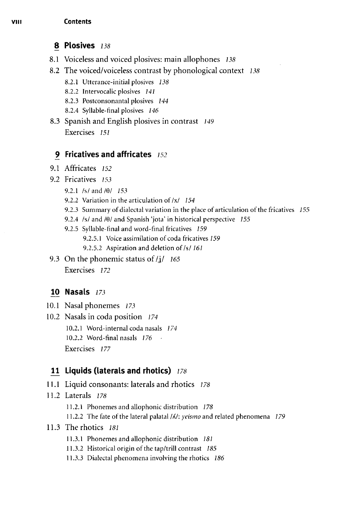#### **VIII Contents**

- **8 Plosives** *us*
- 8.1 Voiceless and voiced plosives: main allophones *138*
- 8.2 The voiced/voiceless contrast by phonological context *138*
	- 8.2.1 Utterance-initial plosives *138*
	- 8.2.2 Intervocalic plosives *141*
	- 8.2.3 Postconsonantal plosives *144*
	- 8.2.4 Syllable-final plosives *146*
- 8.3 Spanish and English plosives in contrast *149* Exercises *151*

#### **9 Fricatives and affricates** *152*

- 9.1 Affricates *152*
- 9.2 Fricatives *153*
	- 9.2.1 /s/and/6/ *153*
	- *9.2.2* Variation in the articulation of/x/ *154*
	- 9.2.3 Summary of dialectal variation in the place of articulation of the fricatives *155*
	- 9.2.4 /s/ and / $\theta$ / and Spanish 'jota' in historical perspective 155
	- 9.2.5 Syllable-final and word-final fricatives *159*
		- 9.2.5.1 Voice assimilation of coda fricatives *159*
		- 9.2.5.2 Aspiration and deletion of/s/*161*
- 9.3 On the phonemic status of/j/ *165* Exercises *172*

#### **10 Nasals** *173*

- 10.1 Nasal phonemes *173*
- 10.2 Nasals in coda position *174* 10.2.1 Word-internal coda nasals *174* 10.2.2 Word-final nasals *176 •* Exercises *177*

# **11 Liquids (laterals and rhotics)** 178

- 11.1 Liquid consonants: laterals and rhotics *178*
- 11.2 Laterals *178*
	- 11.2.1 Phonemes and allophonic distribution *178*
	- 11.2.2 The fate of the lateral palatal M/: *yeismo* and related phenomena *179*
- 11.3 The rhotics *181*
	- 11.3.1 Phonemes and allophonic distribution J8i
	- 11.3.2 Historical origin of the tap/trill contrast *185*
	- 11.3.3 Dialectal phenomena involving the rhotics *186*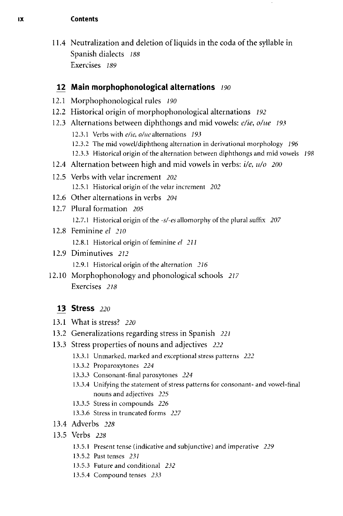#### **ix Contents**

11.4 Neutralization and deletion of liquids in the coda of the syllable in Spanish dialects *188* Exercises *189*

#### **12 Main morphophonological alternations** 190

- 12.1 Morphophonological rules *190*
- 12.2 Historical origin of morphophonological alternations *192*
- 12.3 Alternations between diphthongs and mid vowels: *e/ie, o/ue 193*
	- 12.3.1 Verbs with *e/ie, o/ue* alternations *193*
	- 12.3.2 The mid vowel/diphthong alternation in derivational morphology *196*
	- 12.3.3 Historical origin of the alternation between diphthongs and mid vowels *198*
- 12.4 Alternation between high and mid vowels in verbs:  $i/e$ ,  $u/o$  200
- 12.5 Verbs with velar increment *202* 12.5.1 Historical origin of the velar increment *202*
- 12.6 Other alternations in verbs *204*
- 12.7 Plural formation *205* 12.7.1 Historical origin of the *-s/-es* allomorphy of the plural suffix *207*
- 12.8 Feminine *el 210* 12.8.1 Historical origin of feminine *el 211*
- 12.9 Diminutives *212* 12.9.1 Historical origin of the alternation *216*
- 12.10 Morphophonology and phonological schools *217* Exercises *218*

#### **13 Stress 220**

- 13.1 What is stress? *220*
- 13.2 Generalizations regarding stress in Spanish *221*
- 13.3 Stress properties of nouns and adjectives *222*
	- 13.3.1 Unmarked, marked and exceptional stress patterns *222*
	- 13.3.2 Proparoxytones *224*
	- 13.3.3 Consonant-final paroxytones *224*
	- 13.3.4 Unifying the statement of stress patterns for consonant- and vowel-final nouns and adjectives *225*
	- 13.3.5 Stress in compounds *226*
	- 13.3.6 Stress in truncated forms *227*
- 13.4 Adverbs *228*
- 13.5 Verbs *228*
	- 13.5.1 Present tense (indicative and subjunctive) and imperative *229*
	- 13.5.2 Past tenses *231*
	- 13.5.3 Future and conditional *232*
	- 13.5.4 Compound tenses *233*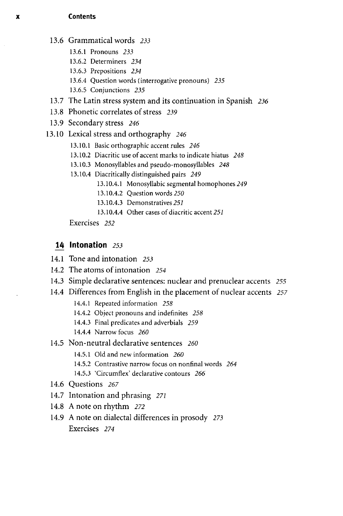#### **Contents**

- 13.6 Grammatical words *233*
	- 13.6.1 Pronouns *233*
	- 13.6.2 Determiners *234*
	- 13.6.3 Prepositions *234*
	- 13.6.4 Question words (interrogative pronouns) *235*
	- 13.6.5 Conjunctions *235*
- 13.7 The Latin stress system and its continuation in Spanish *236*
- 13.8 Phonetic correlates of stress *239*
- 13.9 Secondary stress *246*
- 13.10 Lexical stress and orthography *246*
	- 13.10.1 Basic orthographic accent rules *246*
	- 13.10.2 Diacritic use of accent marks to indicate hiatus *248*
	- 13.10.3 Monosyllables and pseudo-monosyllables *248*
	- 13.10.4 Diacritically distinguished pairs *249*
		- 13.10.4.1 Monosyllabic segmental homophones *249*
		- 13.10.4.2 Question words *250*
		- 13.10.4.3 Demonstratives *251*
		- 13.10.4.4 Other cases of diacritic accent *251*

Exercises *252*

#### **14 Intonation 253**

- 14.1 Tone and intonation *253*
- 14.2 The atoms of intonation *254*
- 14.3 Simple declarative sentences: nuclear and prenuclear accents *255*
- 14.4 Differences from English in the placement of nuclear accents *257*
	- 14.4.1 Repeated information *258*
	- 14.4.2 Object pronouns and indefinites *258*
	- 14.4.3 Final predicates and adverbials *259*
	- 14.4.4 Narrow focus *260*
- 14.5 Non-neutral declarative sentences *260*
	- 14.5.1 Old and new information *260*
	- 14.5.2 Contrastive narrow focus on nonfinal words *264*
	- 14.5.3 'Circumflex'declarative contours *266*
- 14.6 Questions *267*
- 14.7 Intonation and phrasing *271*
- 14.8 A note on rhythm *272*
- 14.9 A note on dialectal differences in prosody *273* Exercises *274*